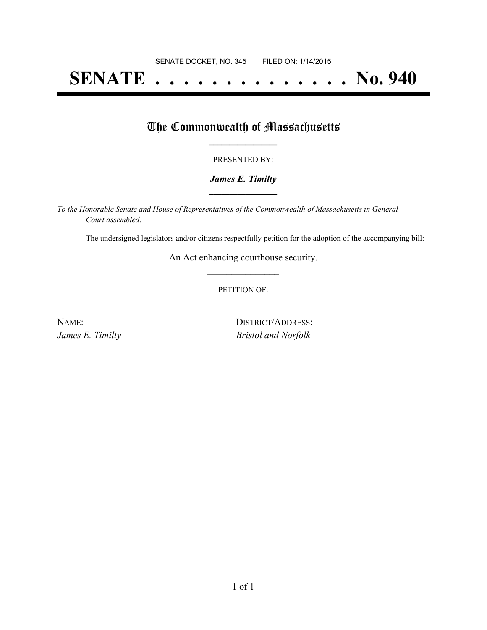# **SENATE . . . . . . . . . . . . . . No. 940**

## The Commonwealth of Massachusetts

#### PRESENTED BY:

#### *James E. Timilty* **\_\_\_\_\_\_\_\_\_\_\_\_\_\_\_\_\_**

*To the Honorable Senate and House of Representatives of the Commonwealth of Massachusetts in General Court assembled:*

The undersigned legislators and/or citizens respectfully petition for the adoption of the accompanying bill:

An Act enhancing courthouse security. **\_\_\_\_\_\_\_\_\_\_\_\_\_\_\_**

#### PETITION OF:

NAME: DISTRICT/ADDRESS:

*James E. Timilty Bristol and Norfolk*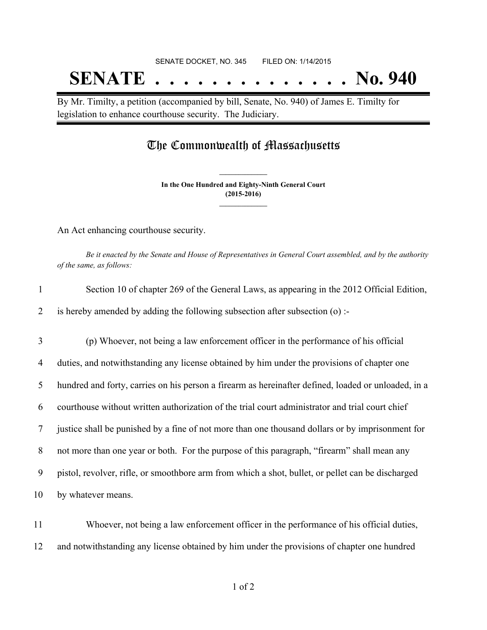# SENATE DOCKET, NO. 345 FILED ON: 1/14/2015 **SENATE . . . . . . . . . . . . . . No. 940**

By Mr. Timilty, a petition (accompanied by bill, Senate, No. 940) of James E. Timilty for legislation to enhance courthouse security. The Judiciary.

## The Commonwealth of Massachusetts

**In the One Hundred and Eighty-Ninth General Court (2015-2016) \_\_\_\_\_\_\_\_\_\_\_\_\_\_\_**

**\_\_\_\_\_\_\_\_\_\_\_\_\_\_\_**

An Act enhancing courthouse security.

Be it enacted by the Senate and House of Representatives in General Court assembled, and by the authority *of the same, as follows:*

| $\mathbf{1}$ | Section 10 of chapter 269 of the General Laws, as appearing in the 2012 Official Edition,           |
|--------------|-----------------------------------------------------------------------------------------------------|
| 2            | is hereby amended by adding the following subsection after subsection (o) :-                        |
| 3            | (p) Whoever, not being a law enforcement officer in the performance of his official                 |
| 4            | duties, and notwithstanding any license obtained by him under the provisions of chapter one         |
| 5            | hundred and forty, carries on his person a firearm as hereinafter defined, loaded or unloaded, in a |
| 6            | courthouse without written authorization of the trial court administrator and trial court chief     |
| 7            | justice shall be punished by a fine of not more than one thousand dollars or by imprisonment for    |
| 8            | not more than one year or both. For the purpose of this paragraph, "firearm" shall mean any         |
| 9            | pistol, revolver, rifle, or smoothbore arm from which a shot, bullet, or pellet can be discharged   |
| 10           | by whatever means.                                                                                  |
| 11           | Whoever, not being a law enforcement officer in the performance of his official duties,             |

12 and notwithstanding any license obtained by him under the provisions of chapter one hundred